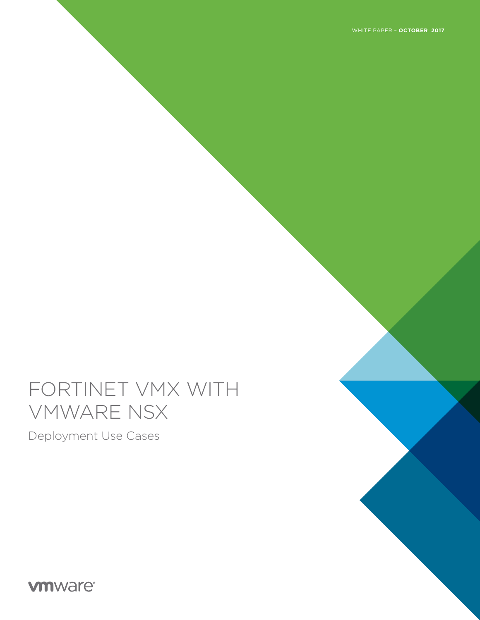WHITE PAPER – **OCTOBER 2017**

# FORTINET VMX WITH VMWARE NSX

Deployment Use Cases

**vmware®**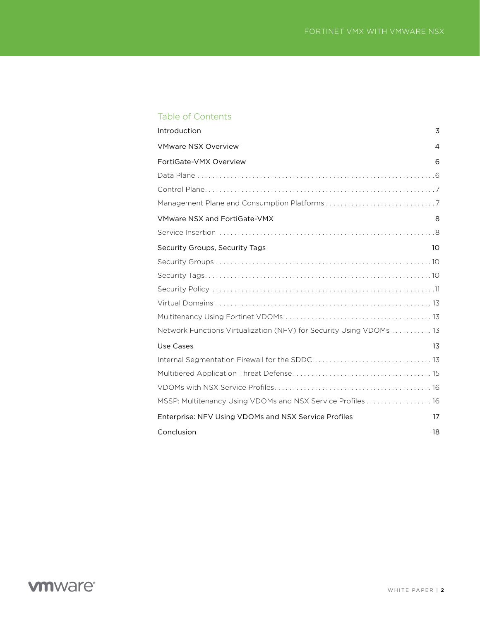### Table of Contents

| Introduction                                                       | 3              |
|--------------------------------------------------------------------|----------------|
| <b>VMware NSX Overview</b>                                         | $\overline{4}$ |
| FortiGate-VMX Overview                                             | 6              |
|                                                                    |                |
|                                                                    |                |
|                                                                    |                |
| <b>VMware NSX and FortiGate-VMX</b>                                | 8              |
|                                                                    |                |
| Security Groups, Security Tags                                     | 10             |
|                                                                    |                |
|                                                                    |                |
|                                                                    |                |
|                                                                    |                |
|                                                                    |                |
| Network Functions Virtualization (NFV) for Security Using VDOMs 13 |                |
| Use Cases                                                          | 1 <sub>3</sub> |
|                                                                    |                |
|                                                                    |                |
|                                                                    |                |
| MSSP: Multitenancy Using VDOMs and NSX Service Profiles 16         |                |
| Enterprise: NFV Using VDOMs and NSX Service Profiles               | 17             |
| Conclusion                                                         | 18             |
|                                                                    |                |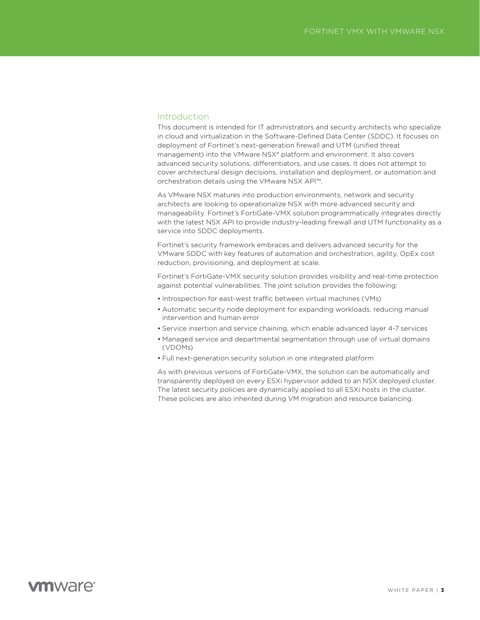### Introduction

This document is intended for IT administrators and security architects who specialize in cloud and virtualization in the Software-Defined Data Center (SDDC). It focuses on deployment of Fortinet's next-generation firewall and UTM (unified threat management) into the VMware NSX® platform and environment. It also covers advanced security solutions, differentiators, and use cases. It does not attempt to cover architectural design decisions, installation and deployment, or automation and orchestration details using the VMware NSX API™.

As VMware NSX matures into production environments, network and security architects are looking to operationalize NSX with more advanced security and manageability. Fortinet's FortiGate-VMX solution programmatically integrates directly with the latest NSX API to provide industry-leading firewall and UTM functionality as a service into SDDC deployments.

Fortinet's security framework embraces and delivers advanced security for the VMware SDDC with key features of automation and orchestration, agility, OpEx cost reduction, provisioning, and deployment at scale.

Fortinet's FortiGate-VMX security solution provides visibility and real-time protection against potential vulnerabilities. The joint solution provides the following:

- Introspection for east-west traffic between virtual machines (VMs)
- Automatic security node deployment for expanding workloads, reducing manual intervention and human error
- Service insertion and service chaining, which enable advanced layer 4-7 services
- Managed service and departmental segmentation through use of virtual domains (VDOMs)
- Full next-generation security solution in one integrated platform

As with previous versions of FortiGate-VMX, the solution can be automatically and transparently deployed on every ESXi hypervisor added to an NSX deployed cluster. The latest security policies are dynamically applied to all ESXi hosts in the cluster. These policies are also inherited during VM migration and resource balancing.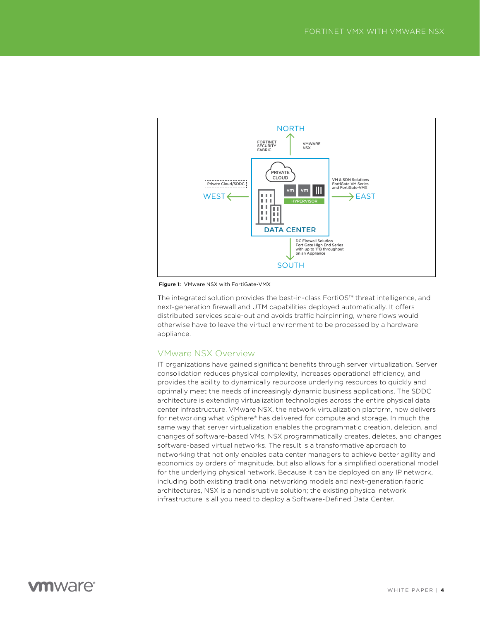

Figure 1: VMware NSX with FortiGate-VMX

The integrated solution provides the best-in-class FortiOS™ threat intelligence, and next-generation firewall and UTM capabilities deployed automatically. It offers distributed services scale-out and avoids traffic hairpinning, where flows would otherwise have to leave the virtual environment to be processed by a hardware appliance.

### VMware NSX Overview

IT organizations have gained significant benefits through server virtualization. Server consolidation reduces physical complexity, increases operational efficiency, and provides the ability to dynamically repurpose underlying resources to quickly and optimally meet the needs of increasingly dynamic business applications. The SDDC architecture is extending virtualization technologies across the entire physical data center infrastructure. VMware NSX, the network virtualization platform, now delivers for networking what vSphere® has delivered for compute and storage. In much the same way that server virtualization enables the programmatic creation, deletion, and changes of software-based VMs, NSX programmatically creates, deletes, and changes software-based virtual networks. The result is a transformative approach to networking that not only enables data center managers to achieve better agility and economics by orders of magnitude, but also allows for a simplified operational model for the underlying physical network. Because it can be deployed on any IP network, including both existing traditional networking models and next-generation fabric architectures, NSX is a nondisruptive solution; the existing physical network infrastructure is all you need to deploy a Software-Defined Data Center.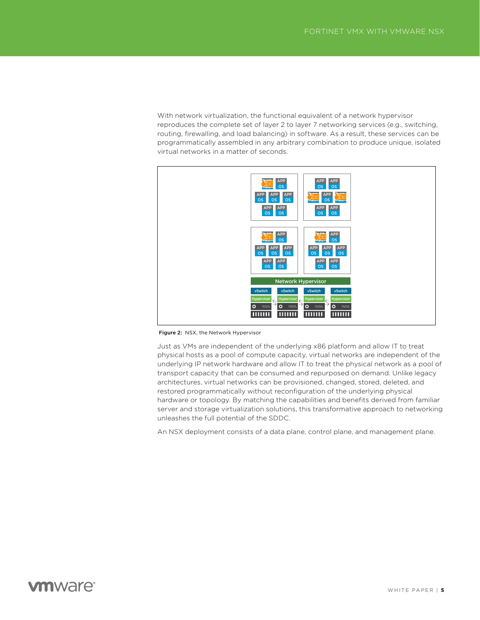With network virtualization, the functional equivalent of a network hypervisor reproduces the complete set of layer 2 to layer 7 networking services (e.g., switching, routing, firewalling, and load balancing) in software. As a result, these services can be programmatically assembled in any arbitrary combination to produce unique, isolated virtual networks in a matter of seconds.



Figure 2: NSX, the Network Hypervisor

Just as VMs are independent of the underlying x86 platform and allow IT to treat physical hosts as a pool of compute capacity, virtual networks are independent of the underlying IP network hardware and allow IT to treat the physical network as a pool of transport capacity that can be consumed and repurposed on demand. Unlike legacy architectures, virtual networks can be provisioned, changed, stored, deleted, and restored programmatically without reconfiguration of the underlying physical hardware or topology. By matching the capabilities and benefits derived from familiar server and storage virtualization solutions, this transformative approach to networking unleashes the full potential of the SDDC.

An NSX deployment consists of a data plane, control plane, and management plane.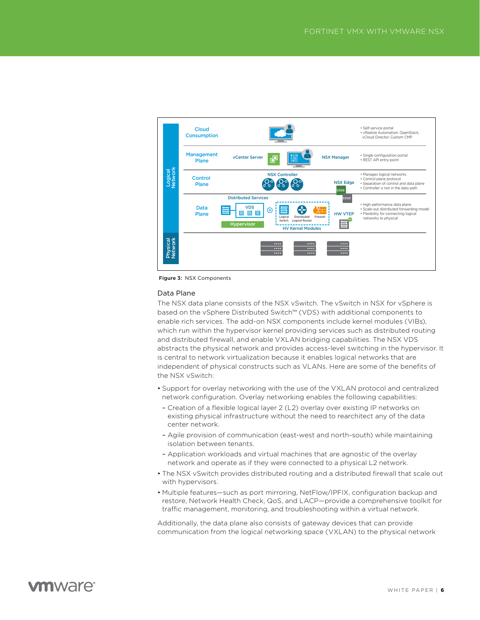

Figure 3: NSX Components

#### Data Plane

The NSX data plane consists of the NSX vSwitch. The vSwitch in NSX for vSphere is based on the vSphere Distributed Switch™ (VDS) with additional components to enable rich services. The add-on NSX components include kernel modules (VIBs), which run within the hypervisor kernel providing services such as distributed routing and distributed firewall, and enable VXLAN bridging capabilities. The NSX VDS abstracts the physical network and provides access-level switching in the hypervisor. It is central to network virtualization because it enables logical networks that are independent of physical constructs such as VLANs. Here are some of the benefits of the NSX vSwitch:

- Support for overlay networking with the use of the VXLAN protocol and centralized network configuration. Overlay networking enables the following capabilities:
- Creation of a flexible logical layer 2 (L2) overlay over existing IP networks on existing physical infrastructure without the need to rearchitect any of the data center network.
- Agile provision of communication (east-west and north-south) while maintaining isolation between tenants.
- Application workloads and virtual machines that are agnostic of the overlay network and operate as if they were connected to a physical L2 network.
- The NSX vSwitch provides distributed routing and a distributed firewall that scale out with hypervisors.
- Multiple features—such as port mirroring, NetFlow/IPFIX, configuration backup and restore, Network Health Check, QoS, and LACP—provide a comprehensive toolkit for traffic management, monitoring, and troubleshooting within a virtual network.

Additionally, the data plane also consists of gateway devices that can provide communication from the logical networking space (VXLAN) to the physical network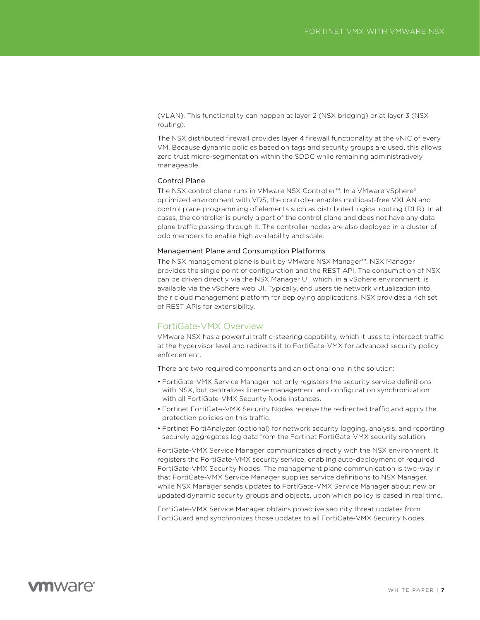(VLAN). This functionality can happen at layer 2 (NSX bridging) or at layer 3 (NSX routing).

The NSX distributed firewall provides layer 4 firewall functionality at the vNIC of every VM. Because dynamic policies based on tags and security groups are used, this allows zero trust micro-segmentation within the SDDC while remaining administratively manageable.

#### Control Plane

The NSX control plane runs in VMware NSX Controller™. In a VMware vSphere® optimized environment with VDS, the controller enables multicast-free VXLAN and control plane programming of elements such as distributed logical routing (DLR). In all cases, the controller is purely a part of the control plane and does not have any data plane traffic passing through it. The controller nodes are also deployed in a cluster of odd members to enable high availability and scale.

#### Management Plane and Consumption Platforms

The NSX management plane is built by VMware NSX Manager™. NSX Manager provides the single point of configuration and the REST API. The consumption of NSX can be driven directly via the NSX Manager UI, which, in a vSphere environment, is available via the vSphere web UI. Typically, end users tie network virtualization into their cloud management platform for deploying applications. NSX provides a rich set of REST APIs for extensibility.

#### FortiGate-VMX Overview

VMware NSX has a powerful traffic-steering capability, which it uses to intercept traffic at the hypervisor level and redirects it to FortiGate-VMX for advanced security policy enforcement.

There are two required components and an optional one in the solution:

- FortiGate-VMX Service Manager not only registers the security service definitions with NSX, but centralizes license management and configuration synchronization with all FortiGate-VMX Security Node instances.
- Fortinet FortiGate-VMX Security Nodes receive the redirected traffic and apply the protection policies on this traffic.
- Fortinet FortiAnalyzer (optional) for network security logging, analysis, and reporting securely aggregates log data from the Fortinet FortiGate-VMX security solution.

FortiGate-VMX Service Manager communicates directly with the NSX environment. It registers the FortiGate-VMX security service, enabling auto-deployment of required FortiGate-VMX Security Nodes. The management plane communication is two-way in that FortiGate-VMX Service Manager supplies service definitions to NSX Manager, while NSX Manager sends updates to FortiGate-VMX Service Manager about new or updated dynamic security groups and objects, upon which policy is based in real time.

FortiGate-VMX Service Manager obtains proactive security threat updates from FortiGuard and synchronizes those updates to all FortiGate-VMX Security Nodes.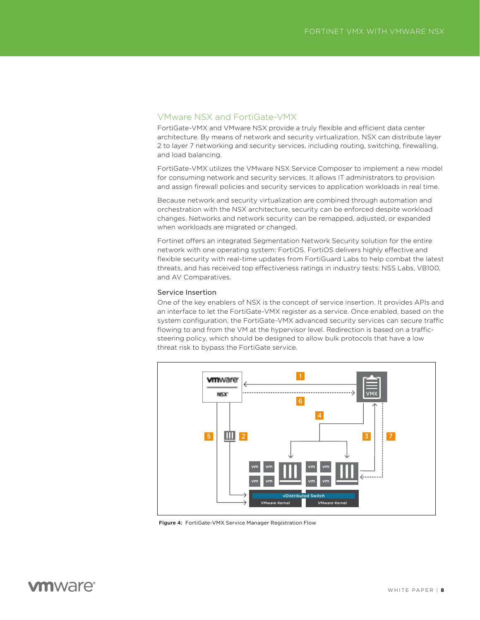### VMware NSX and FortiGate-VMX

FortiGate-VMX and VMware NSX provide a truly flexible and efficient data center architecture. By means of network and security virtualization, NSX can distribute layer 2 to layer 7 networking and security services, including routing, switching, firewalling, and load balancing.

FortiGate-VMX utilizes the VMware NSX Service Composer to implement a new model for consuming network and security services. It allows IT administrators to provision and assign firewall policies and security services to application workloads in real time.

Because network and security virtualization are combined through automation and orchestration with the NSX architecture, security can be enforced despite workload changes. Networks and network security can be remapped, adjusted, or expanded when workloads are migrated or changed.

Fortinet offers an integrated Segmentation Network Security solution for the entire network with one operating system: FortiOS. FortiOS delivers highly effective and flexible security with real-time updates from FortiGuard Labs to help combat the latest threats, and has received top effectiveness ratings in industry tests: NSS Labs, VB100, and AV Comparatives.

### Service Insertion

One of the key enablers of NSX is the concept of service insertion. It provides APIs and an interface to let the FortiGate-VMX register as a service. Once enabled, based on the system configuration, the FortiGate-VMX advanced security services can secure traffic flowing to and from the VM at the hypervisor level. Redirection is based on a trafficsteering policy, which should be designed to allow bulk protocols that have a low threat risk to bypass the FortiGate service.



Figure 4: FortiGate-VMX Service Manager Registration Flow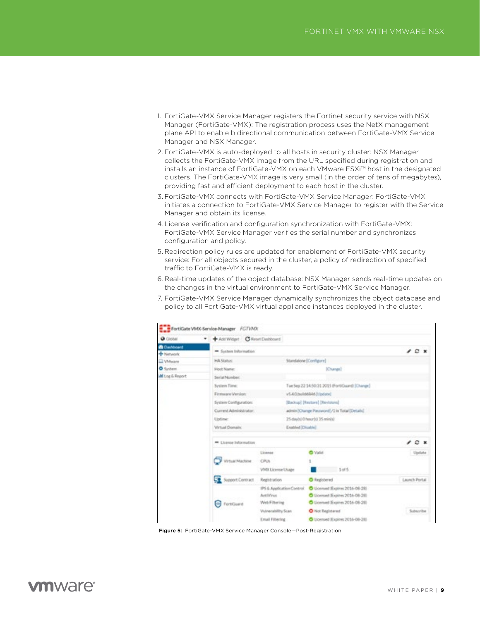- 1. FortiGate-VMX Service Manager registers the Fortinet security service with NSX Manager (FortiGate-VMX): The registration process uses the NetX management plane API to enable bidirectional communication between FortiGate-VMX Service Manager and NSX Manager.
- 2. FortiGate-VMX is auto-deployed to all hosts in security cluster: NSX Manager collects the FortiGate-VMX image from the URL specified during registration and installs an instance of FortiGate-VMX on each VMware ESXi™ host in the designated clusters. The FortiGate-VMX image is very small (in the order of tens of megabytes), providing fast and efficient deployment to each host in the cluster.
- 3. FortiGate-VMX connects with FortiGate-VMX Service Manager: FortiGate-VMX initiates a connection to FortiGate-VMX Service Manager to register with the Service Manager and obtain its license.
- 4. License verification and configuration synchronization with FortiGate-VMX: FortiGate-VMX Service Manager verifies the serial number and synchronizes configuration and policy.
- 5. Redirection policy rules are updated for enablement of FortiGate-VMX security service: For all objects secured in the cluster, a policy of redirection of specified traffic to FortiGate-VMX is ready.
- 6. Real-time updates of the object database: NSX Manager sends real-time updates on the changes in the virtual environment to FortiGate-VMX Service Manager.
- 7. FortiGate-VMX Service Manager dynamically synchronizes the object database and policy to all FortiGate-VMX virtual appliance instances deployed in the cluster.

| <b>O</b> Clobal         | Add Widget C Reset Dashboard<br>٠ |                           |                                                |               |  |  |  |  |  |
|-------------------------|-----------------------------------|---------------------------|------------------------------------------------|---------------|--|--|--|--|--|
| <b>B</b> Dashboard      |                                   |                           |                                                |               |  |  |  |  |  |
| - Network               | System Information                |                           |                                                | Ð.            |  |  |  |  |  |
| C VMeare                | HA Status:                        |                           | Standalone (Configure)                         |               |  |  |  |  |  |
| <b>O</b> System         | Hoch Name:                        |                           | (Change)                                       |               |  |  |  |  |  |
| <b>All</b> Log & Report | Serial Number:                    |                           |                                                |               |  |  |  |  |  |
|                         | System Time:                      |                           | Tue Sep 22 14:50:31 2015 (Fort/Guard) [Change] |               |  |  |  |  |  |
|                         |                                   |                           |                                                |               |  |  |  |  |  |
|                         | Firmware Version:                 |                           | v5.4.0.build6846 [Update]                      |               |  |  |  |  |  |
|                         | System Configuration:             |                           | Stackup] [Restore] [Revisions]                 |               |  |  |  |  |  |
|                         | Current Administrator:            |                           | admin [Change Password] /1 in Total [Details]  |               |  |  |  |  |  |
|                         | Uptime:                           |                           | 25-day/ol/0/teach/a 35 minis/                  |               |  |  |  |  |  |
|                         | <b>Virtual Domain</b>             |                           | Enabled (Disable)                              |               |  |  |  |  |  |
|                         | * License Information             |                           |                                                |               |  |  |  |  |  |
|                         |                                   | License                   | <b>O</b> Valid                                 | Update        |  |  |  |  |  |
|                         | <b>Virtual Machine</b>            | CRA                       |                                                |               |  |  |  |  |  |
|                         |                                   | VMX License Usage         | 3.085                                          |               |  |  |  |  |  |
|                         | Support Contract                  | Registration              | C Registered                                   | Launch Portal |  |  |  |  |  |
|                         |                                   | IPS & Application Control | C Licensed (Expires 2016-08-28)                |               |  |  |  |  |  |
|                         |                                   | <b>AntiVirus</b>          | C Licensed Expires 2016-08-281                 |               |  |  |  |  |  |
|                         | о<br>Fort/Guard                   | Web Filtering             | C Licensed (Expires 2014-08-28)                |               |  |  |  |  |  |
|                         |                                   | Viulverability Scan       | O Not Registered                               | Subscribe     |  |  |  |  |  |
|                         |                                   | <b>Email Filtering</b>    | C Licensed Expires 2016-08-28                  |               |  |  |  |  |  |

Figure 5: FortiGate-VMX Service Manager Console—Post-Registration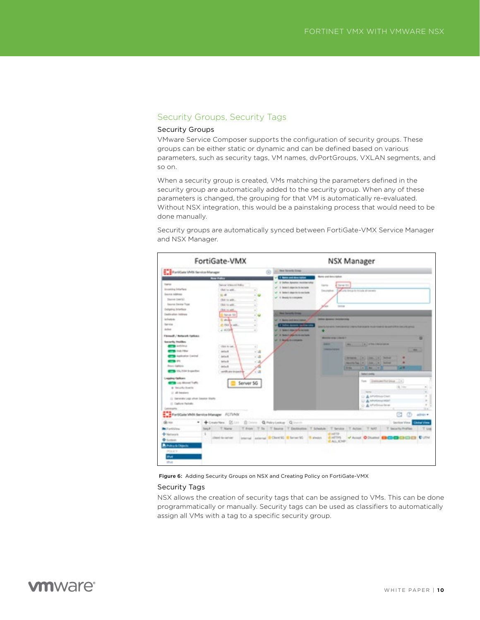### Security Groups, Security Tags

### Security Groups

VMware Service Composer supports the configuration of security groups. These groups can be either static or dynamic and can be defined based on various parameters, such as security tags, VM names, dvPortGroups, VXLAN segments, and so on.

When a security group is created, VMs matching the parameters defined in the security group are automatically added to the security group. When any of these parameters is changed, the grouping for that VM is automatically re-evaluated. Without NSX integration, this would be a painstaking process that would need to be done manually.

Security groups are automatically synced between FortiGate-VMX Service Manager and NSX Manager.



Figure 6: Adding Security Groups on NSX and Creating Policy on FortiGate-VMX

#### Security Tags

NSX allows the creation of security tags that can be assigned to VMs. This can be done programmatically or manually. Security tags can be used as classifiers to automatically assign all VMs with a tag to a specific security group.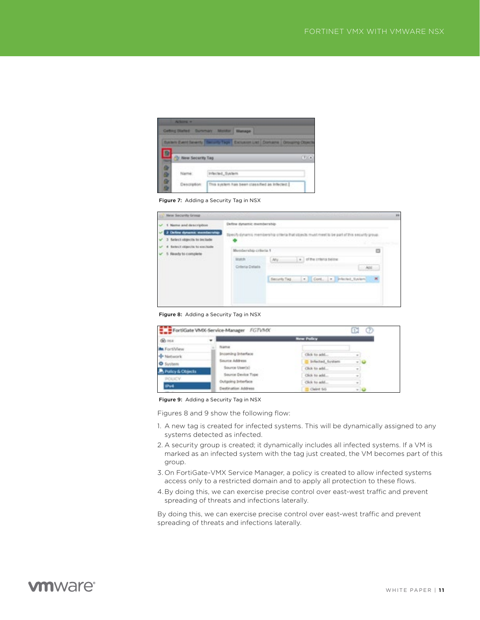

Figure 7: Adding a Security Tag in NSX

| 1 Name and description<br>÷                                                                                           | Define dynamic membership-<br>Specify synamic membership criteria that stonits must meet to be part of this security proval. |                                        |        |  |  |  |  |  |
|-----------------------------------------------------------------------------------------------------------------------|------------------------------------------------------------------------------------------------------------------------------|----------------------------------------|--------|--|--|--|--|--|
| 2 Define dynamic membership<br>3 Select objects to include<br>4 Select otaects to exclude<br>v<br>5 Ready to complete |                                                                                                                              |                                        |        |  |  |  |  |  |
|                                                                                                                       | Mentos rabio criteria 1                                                                                                      |                                        | O      |  |  |  |  |  |
|                                                                                                                       | Statute:                                                                                                                     | $+$ $-$ of the criteria below.<br>Atly |        |  |  |  |  |  |
|                                                                                                                       | Criteria Details                                                                                                             |                                        | $-366$ |  |  |  |  |  |
|                                                                                                                       |                                                                                                                              | Security Tag                           |        |  |  |  |  |  |

Figure 8: Adding a Security Tag in NSX

| Go main            |                           | New Policy      |               |
|--------------------|---------------------------|-----------------|---------------|
| <b>An</b> FortWiew | Name                      |                 |               |
| - Nebwork          | <b>Incoming Interface</b> | Click to add    | $\sim$        |
| <b>O</b> System    | Source Address            | briected System | - 0           |
| Policy & Objects   | Source User(s)            | Click to add    | $\sim$        |
|                    | Source Device Type        | Click to add    | $\rightarrow$ |
| POUCY.             | Outgoing Interface        | Click to add    | $\sim$        |
| IPv4               | Destination Address       | Claim 66        |               |

Figure 9: Adding a Security Tag in NSX

Figures 8 and 9 show the following flow:

- 1. A new tag is created for infected systems. This will be dynamically assigned to any systems detected as infected.
- 2. A security group is created; it dynamically includes all infected systems. If a VM is marked as an infected system with the tag just created, the VM becomes part of this group.
- 3. On FortiGate-VMX Service Manager, a policy is created to allow infected systems access only to a restricted domain and to apply all protection to these flows.
- 4. By doing this, we can exercise precise control over east-west traffic and prevent spreading of threats and infections laterally.

By doing this, we can exercise precise control over east-west traffic and prevent spreading of threats and infections laterally.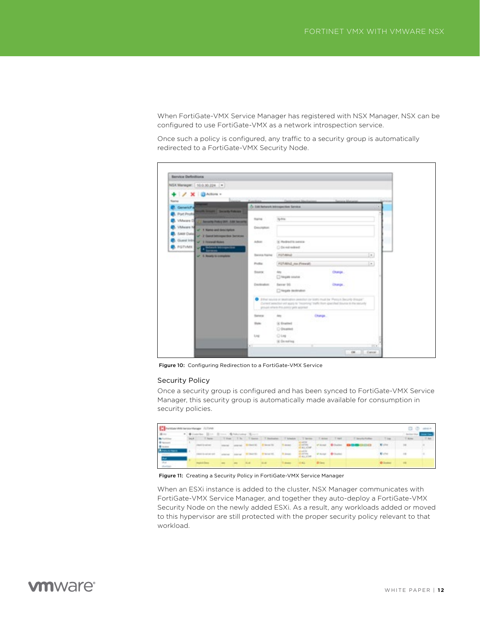When FortiGate-VMX Service Manager has registered with NSX Manager, NSX can be configured to use FortiGate-VMX as a network introspection service.

Once such a policy is configured, any traffic to a security group is automatically redirected to a FortiGate-VMX Security Node.

| Service Definitions                                         |                 |                                                                                                                                                                                                                                   |              |         |      |
|-------------------------------------------------------------|-----------------|-----------------------------------------------------------------------------------------------------------------------------------------------------------------------------------------------------------------------------------|--------------|---------|------|
| NSA Manager: 10.0.30.224 ( =                                |                 |                                                                                                                                                                                                                                   |              |         |      |
| + / X   @Adbox +                                            |                 |                                                                                                                                                                                                                                   |              |         |      |
| <b>Name</b>                                                 |                 |                                                                                                                                                                                                                                   |              |         |      |
| <b>Cenatory</b>                                             |                 | O DACAMANA BRIDGE TANKS                                                                                                                                                                                                           |              |         |      |
| <b>ANTI-REGIST COLUMN FORESTS</b><br><b>B.</b> Port Profile |                 |                                                                                                                                                                                                                                   |              |         |      |
| VMware CE<br><b>C. Security Policy DER . LBD Security</b>   | <b>Flame</b>    | <b>Ig-frix</b>                                                                                                                                                                                                                    |              |         |      |
| <b>VMasse N</b><br>of 1 Name and Seattleford                | Description.    |                                                                                                                                                                                                                                   |              |         |      |
| SAM Date<br>U 7 Gard Mingardon between                      | 53 O.K          |                                                                                                                                                                                                                                   |              |         |      |
| Guest Into N. 3 Inneed floor                                | Adican          | S: Redred to person                                                                                                                                                                                                               |              |         |      |
| POTVMIL<br><b>Participants</b>                              |                 | C Demiradord                                                                                                                                                                                                                      |              |         |      |
| UP 3. Nearly to complete                                    | Stevens Foaring | POTABLE                                                                                                                                                                                                                           |              |         | in.  |
|                                                             | Podlar.         | <b>POTABLO AN FIRMATI</b>                                                                                                                                                                                                         |              |         | be)  |
|                                                             | <b>SAKK</b>     | Any.                                                                                                                                                                                                                              |              | Change. |      |
|                                                             |                 | C highly source                                                                                                                                                                                                                   |              |         |      |
|                                                             | Destination:    |                                                                                                                                                                                                                                   |              | Change. |      |
|                                                             |                 | C high technics                                                                                                                                                                                                                   |              |         |      |
|                                                             |                 | To define sources or insultanties possibles de feath must be Photos himself disease."<br>Current sensitive will apply to "Incorpory" traffic from specified Sturios in the security<br>groups) silvers it is painty yeld account. |              |         |      |
|                                                             | Sanno           | date:                                                                                                                                                                                                                             | change.      |         |      |
|                                                             | <b>That's</b>   | (a) Enamed                                                                                                                                                                                                                        | <b>ATING</b> |         |      |
|                                                             |                 | C Dealer                                                                                                                                                                                                                          |              |         |      |
|                                                             | Ling            | 04m                                                                                                                                                                                                                               |              |         |      |
|                                                             | e T             | 10 De militag                                                                                                                                                                                                                     |              |         | ITCs |

Figure 10: Configuring Redirection to a FortiGate-VMX Service

#### Security Policy

Once a security group is configured and has been synced to FortiGate-VMX Service Manager, this security group is automatically made available for consumption in security policies.

| <b>Comments winnings</b> Albre                             |   |                                                           |  |              |                                          |                   |                                |                           |                                              |                               |                 |                   | C D mes |
|------------------------------------------------------------|---|-----------------------------------------------------------|--|--------------|------------------------------------------|-------------------|--------------------------------|---------------------------|----------------------------------------------|-------------------------------|-----------------|-------------------|---------|
| $-40$                                                      |   | * . * Creation . 2014 . 20 line . 4 holytopher . 42 parts |  |              |                                          |                   |                                |                           |                                              |                               |                 | <b>Index Year</b> |         |
| <b>Bulleting</b>                                           | m | T Rente                                                   |  |              | This Th These Thomas Thinks / Three      |                   |                                | T-8000 T-987              |                                              | 7 Interior Profiles           | $T$ deals       | T King            | T SA    |
| 4 years<br><b>Witness</b>                                  |   | <b>Contract Contract</b>                                  |  |              | <b>Classification of the Company Co.</b> | To showed         | <b>CARDON</b><br><b>TALICA</b> |                           | the control of the control of the control of | Planet Column 120-23-00-03-03 | <b>B</b> ustine | $\rightarrow$     |         |
| <b>Bitancomen</b><br>214.478<br><b>Share</b>               |   |                                                           |  | Check Street | <b>B</b> Harrison Rd.                    | <b>B</b> posts    | $\frac{1}{2}$                  | <b>WArrant Britishers</b> |                                              |                               | <b>Bluebar</b>  | $\rightarrow$     |         |
| $\frac{\partial^2 \phi}{\partial x \partial y \partial x}$ |   |                                                           |  | <b>HALLM</b> | <b>HELME</b>                             | <b>COMMERCIAL</b> | <b>COLLECTIVE</b>              | <b>Contract Contract</b>  |                                              |                               | <b>Children</b> | $-$               |         |

Figure 11: Creating a Security Policy in FortiGate-VMX Service Manager

When an ESXi instance is added to the cluster, NSX Manager communicates with FortiGate-VMX Service Manager, and together they auto-deploy a FortiGate-VMX Security Node on the newly added ESXi. As a result, any workloads added or moved to this hypervisor are still protected with the proper security policy relevant to that workload.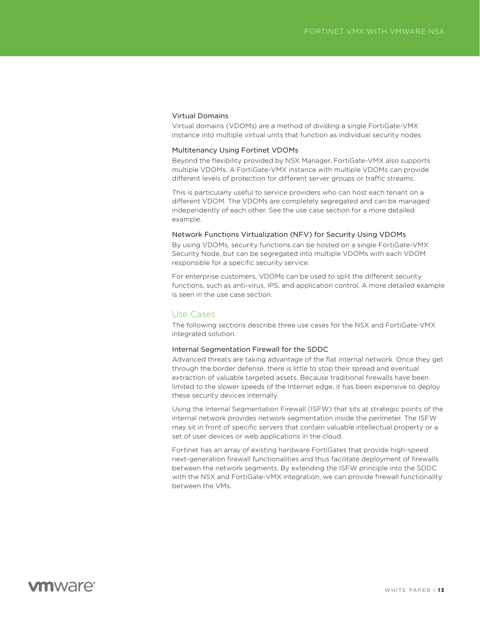### Virtual Domains

Virtual domains (VDOMs) are a method of dividing a single FortiGate-VMX instance into multiple virtual units that function as individual security nodes.

### Multitenancy Using Fortinet VDOMs

Beyond the flexibility provided by NSX Manager, FortiGate-VMX also supports multiple VDOMs. A FortiGate-VMX instance with multiple VDOMs can provide different levels of protection for different server groups or traffic streams.

This is particularly useful to service providers who can host each tenant on a different VDOM. The VDOMs are completely segregated and can be managed independently of each other. See the use case section for a more detailed example.

#### Network Functions Virtualization (NFV) for Security Using VDOMs

By using VDOMs, security functions can be hosted on a single FortiGate-VMX Security Node, but can be segregated into multiple VDOMs with each VDOM responsible for a specific security service.

For enterprise customers, VDOMs can be used to split the different security functions, such as anti-virus, IPS, and application control. A more detailed example is seen in the use case section.

### Use Cases

The following sections describe three use cases for the NSX and FortiGate-VMX integrated solution.

#### Internal Segmentation Firewall for the SDDC

Advanced threats are taking advantage of the flat internal network. Once they get through the border defense, there is little to stop their spread and eventual extraction of valuable targeted assets. Because traditional firewalls have been limited to the slower speeds of the Internet edge, it has been expensive to deploy these security devices internally.

Using the Internal Segmentation Firewall (ISFW) that sits at strategic points of the internal network provides network segmentation inside the perimeter. The ISFW may sit in front of specific servers that contain valuable intellectual property or a set of user devices or web applications in the cloud.

Fortinet has an array of existing hardware FortiGates that provide high-speed next-generation firewall functionalities and thus facilitate deployment of firewalls between the network segments. By extending the ISFW principle into the SDDC with the NSX and FortiGate-VMX integration, we can provide firewall functionality between the VMs.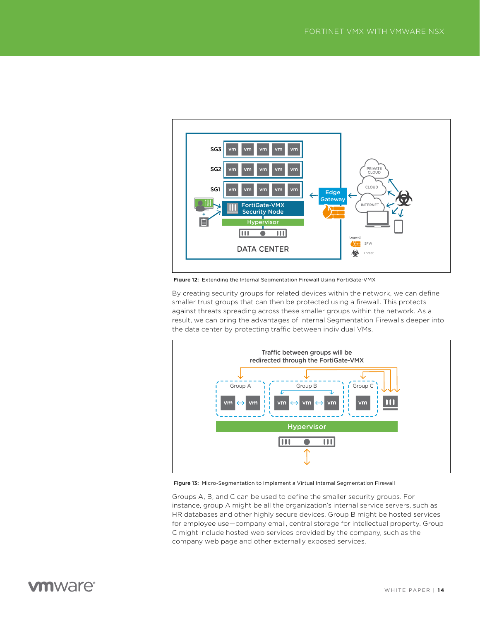

Figure 12: Extending the Internal Segmentation Firewall Using FortiGate-VMX

By creating security groups for related devices within the network, we can define smaller trust groups that can then be protected using a firewall. This protects against threats spreading across these smaller groups within the network. As a result, we can bring the advantages of Internal Segmentation Firewalls deeper into the data center by protecting traffic between individual VMs.



Figure 13: Micro-Segmentation to Implement a Virtual Internal Segmentation Firewall

Groups A, B, and C can be used to define the smaller security groups. For instance, group A might be all the organization's internal service servers, such as HR databases and other highly secure devices. Group B might be hosted services for employee use—company email, central storage for intellectual property. Group C might include hosted web services provided by the company, such as the company web page and other externally exposed services.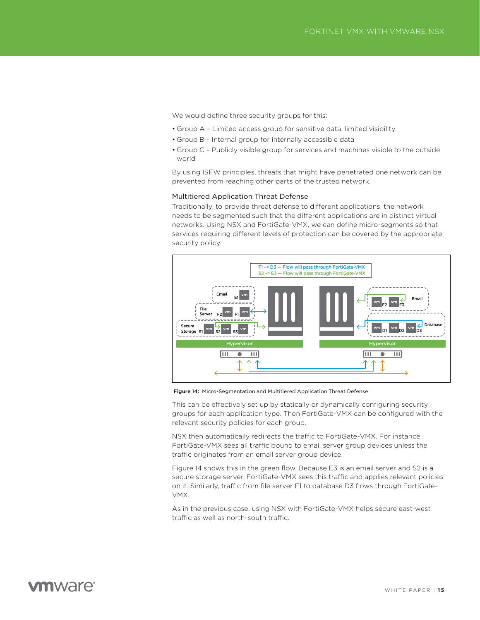We would define three security groups for this:

- Group A Limited access group for sensitive data, limited visibility
- Group B Internal group for internally accessible data
- Group C Publicly visible group for services and machines visible to the outside world

By using ISFW principles, threats that might have penetrated one network can be prevented from reaching other parts of the trusted network.

#### Multitiered Application Threat Defense

Traditionally, to provide threat defense to different applications, the network needs to be segmented such that the different applications are in distinct virtual networks. Using NSX and FortiGate-VMX, we can define micro-segments so that services requiring different levels of protection can be covered by the appropriate security policy.



Figure 14: Micro-Segmentation and Multitiered Application Threat Defense

This can be effectively set up by statically or dynamically configuring security groups for each application type. Then FortiGate-VMX can be configured with the relevant security policies for each group.

NSX then automatically redirects the traffic to FortiGate-VMX. For instance, FortiGate-VMX sees all traffic bound to email server group devices unless the traffic originates from an email server group device.

Figure 14 shows this in the green flow. Because E3 is an email server and S2 is a secure storage server, FortiGate-VMX sees this traffic and applies relevant policies on it. Similarly, traffic from file server F1 to database D3 flows through FortiGate-VMX.

As in the previous case, using NSX with FortiGate-VMX helps secure east-west traffic as well as north-south traffic.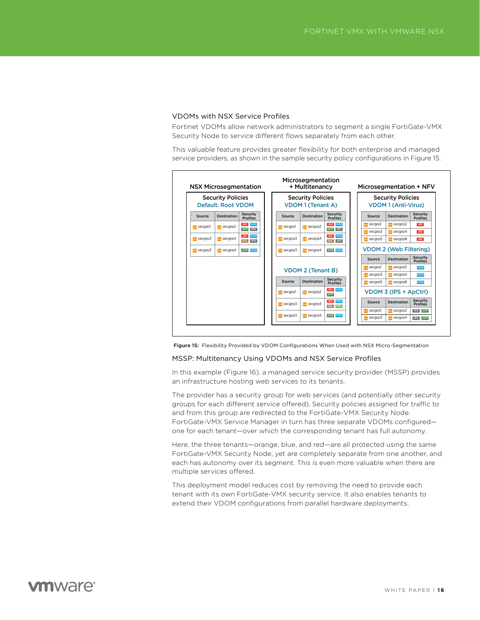#### VDOMs with NSX Service Profiles

Fortinet VDOMs allow network administrators to segment a single FortiGate-VMX Security Node to service different flows separately from each other.

This valuable feature provides greater flexibility for both enterprise and managed service providers, as shown in the sample security policy configurations in Figure 15.



Figure 15: Flexibility Provided by VDOM Configurations When Used with NSX Micro-Segmentation

#### MSSP: Multitenancy Using VDOMs and NSX Service Profiles

In this example (Figure 16), a managed service security provider (MSSP) provides an infrastructure hosting web services to its tenants.

The provider has a security group for web services (and potentially other security groups for each different service offered). Security policies assigned for traffic to and from this group are redirected to the FortiGate-VMX Security Node. FortiGate-VMX Service Manager in turn has three separate VDOMs configured one for each tenant—over which the corresponding tenant has full autonomy.

Here, the three tenants—orange, blue, and red—are all protected using the same FortiGate-VMX Security Node, yet are completely separate from one another, and each has autonomy over its segment. This is even more valuable when there are multiple services offered.

This deployment model reduces cost by removing the need to provide each tenant with its own FortiGate-VMX security service. It also enables tenants to extend their VDOM configurations from parallel hardware deployments.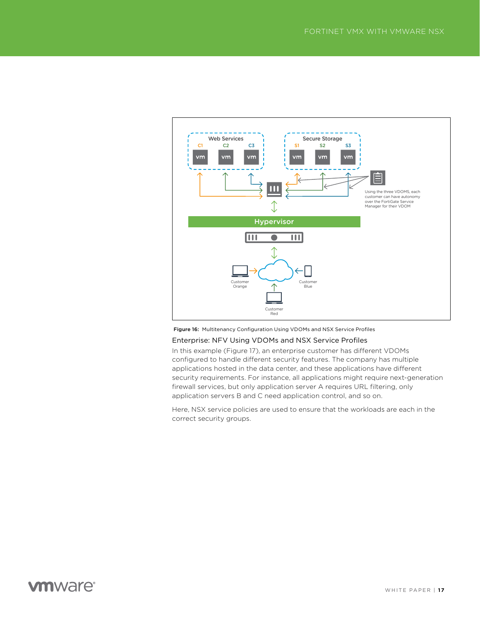

Figure 16: Multitenancy Configuration Using VDOMs and NSX Service Profiles

### Enterprise: NFV Using VDOMs and NSX Service Profiles

In this example (Figure 17), an enterprise customer has different VDOMs configured to handle different security features. The company has multiple applications hosted in the data center, and these applications have different security requirements. For instance, all applications might require next-generation firewall services, but only application server A requires URL filtering, only application servers B and C need application control, and so on.

Here, NSX service policies are used to ensure that the workloads are each in the correct security groups.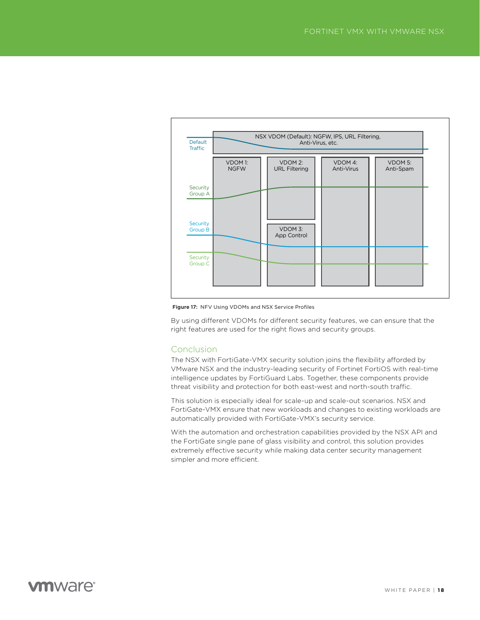

Figure 17: NFV Using VDOMs and NSX Service Profiles

By using different VDOMs for different security features, we can ensure that the right features are used for the right flows and security groups.

### Conclusion

The NSX with FortiGate-VMX security solution joins the flexibility afforded by VMware NSX and the industry-leading security of Fortinet FortiOS with real-time intelligence updates by FortiGuard Labs. Together, these components provide threat visibility and protection for both east-west and north-south traffic.

This solution is especially ideal for scale-up and scale-out scenarios. NSX and FortiGate-VMX ensure that new workloads and changes to existing workloads are automatically provided with FortiGate-VMX's security service.

With the automation and orchestration capabilities provided by the NSX API and the FortiGate single pane of glass visibility and control, this solution provides extremely effective security while making data center security management simpler and more efficient.